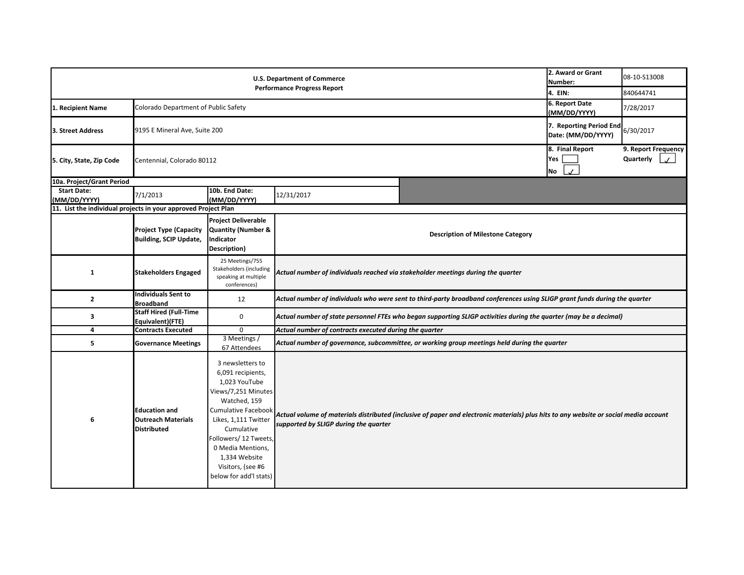|                                                                | 2. Award or Grant<br>Number:<br>4. EIN:                                 | 08-10-S13008<br>840644741                                                                                                                                                                                                                                                       |                                                                                                                            |                                                                                                                                       |                                  |  |  |  |  |
|----------------------------------------------------------------|-------------------------------------------------------------------------|---------------------------------------------------------------------------------------------------------------------------------------------------------------------------------------------------------------------------------------------------------------------------------|----------------------------------------------------------------------------------------------------------------------------|---------------------------------------------------------------------------------------------------------------------------------------|----------------------------------|--|--|--|--|
| 1. Recipient Name                                              | Colorado Department of Public Safety                                    | 6. Report Date<br>(MM/DD/YYYY)                                                                                                                                                                                                                                                  | 7/28/2017                                                                                                                  |                                                                                                                                       |                                  |  |  |  |  |
| 3. Street Address                                              |                                                                         | 7. Reporting Period End<br>9195 E Mineral Ave, Suite 200<br>Date: (MM/DD/YYYY)                                                                                                                                                                                                  |                                                                                                                            |                                                                                                                                       |                                  |  |  |  |  |
| 5. City, State, Zip Code                                       | Centennial, Colorado 80112                                              |                                                                                                                                                                                                                                                                                 |                                                                                                                            | 8. Final Report<br>Yes<br>$\mathcal{L}$<br>No                                                                                         | 9. Report Frequency<br>Quarterly |  |  |  |  |
| 10a. Project/Grant Period                                      |                                                                         |                                                                                                                                                                                                                                                                                 |                                                                                                                            |                                                                                                                                       |                                  |  |  |  |  |
| <b>Start Date:</b><br>MM/DD/YYYY)                              | 7/1/2013                                                                | 10b. End Date:<br>(MM/DD/YYYY)                                                                                                                                                                                                                                                  | 12/31/2017                                                                                                                 |                                                                                                                                       |                                  |  |  |  |  |
| 11. List the individual projects in your approved Project Plan |                                                                         |                                                                                                                                                                                                                                                                                 |                                                                                                                            |                                                                                                                                       |                                  |  |  |  |  |
|                                                                | <b>Project Type (Capacity</b><br><b>Building, SCIP Update,</b>          | <b>Project Deliverable</b><br><b>Quantity (Number &amp;</b><br>Indicator<br>Description)                                                                                                                                                                                        | <b>Description of Milestone Category</b>                                                                                   |                                                                                                                                       |                                  |  |  |  |  |
| 1                                                              | <b>Stakeholders Engaged</b>                                             | 25 Meetings/755<br>Stakeholders (including<br>speaking at multiple<br>conferences)                                                                                                                                                                                              | Actual number of individuals reached via stakeholder meetings during the quarter                                           |                                                                                                                                       |                                  |  |  |  |  |
| $\overline{2}$                                                 | <b>Individuals Sent to</b><br><b>Broadband</b>                          | 12                                                                                                                                                                                                                                                                              | Actual number of individuals who were sent to third-party broadband conferences using SLIGP grant funds during the quarter |                                                                                                                                       |                                  |  |  |  |  |
| 3                                                              | Equivalent)(FTE)                                                        | <b>Staff Hired (Full-Time</b><br>Actual number of state personnel FTEs who began supporting SLIGP activities during the quarter (may be a decimal)<br>0                                                                                                                         |                                                                                                                            |                                                                                                                                       |                                  |  |  |  |  |
| 4                                                              | <b>Contracts Executed</b>                                               | $\mathbf 0$                                                                                                                                                                                                                                                                     | Actual number of contracts executed during the quarter                                                                     |                                                                                                                                       |                                  |  |  |  |  |
| 5                                                              | <b>Governance Meetings</b>                                              | 3 Meetings /<br>67 Attendees                                                                                                                                                                                                                                                    | Actual number of governance, subcommittee, or working group meetings held during the quarter                               |                                                                                                                                       |                                  |  |  |  |  |
| 6                                                              | <b>Education and</b><br><b>Outreach Materials</b><br><b>Distributed</b> | 3 newsletters to<br>6,091 recipients,<br>1,023 YouTube<br>Views/7,251 Minutes<br>Watched, 159<br><b>Cumulative Facebook</b><br>Likes, 1,111 Twitter<br>Cumulative<br>Followers/ 12 Tweets,<br>0 Media Mentions,<br>1,334 Website<br>Visitors, (see #6<br>below for add'l stats) | supported by SLIGP during the quarter                                                                                      | Actual volume of materials distributed (inclusive of paper and electronic materials) plus hits to any website or social media account |                                  |  |  |  |  |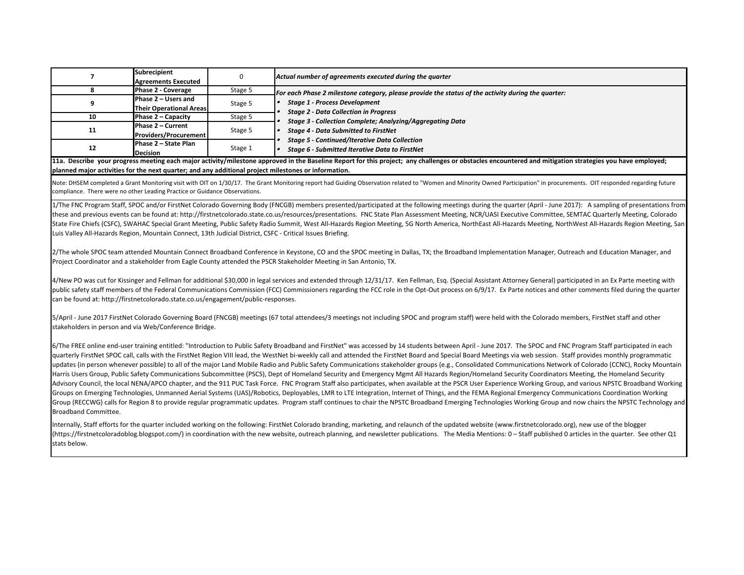|    | Subrecipient<br><b>Agreements Executed</b>            | υ       | Actual number of agreements executed during the quarter                                                       |
|----|-------------------------------------------------------|---------|---------------------------------------------------------------------------------------------------------------|
|    | Phase 2 - Coverage                                    | Stage 5 | For each Phase 2 milestone category, please provide the status of the activity during the quarter:            |
|    | Phase 2 – Users and<br><b>Their Operational Areas</b> | Stage 5 | <b>Stage 1 - Process Development</b><br><b>Stage 2 - Data Collection in Progress</b>                          |
| 10 | Phase 2 – Capacity                                    | Stage 5 | Stage 3 - Collection Complete; Analyzing/Aggregating Data                                                     |
| 11 | Phase 2 – Current<br><b>Providers/Procurement</b>     | Stage 5 | <b>Stage 4 - Data Submitted to FirstNet</b>                                                                   |
| 12 | Phase 2 – State Plan<br><b>Decision</b>               | Stage 1 | <b>Stage 5 - Continued/Iterative Data Collection</b><br><b>Stage 6 - Submitted Iterative Data to FirstNet</b> |

**11a. Describe your progress meeting each major activity/milestone approved in the Baseline Report for this project; any challenges or obstacles encountered and mitigation strategies you have employed; planned major activities for the next quarter; and any additional project milestones or information.** 

Note: DHSEM completed a Grant Monitoring visit with OIT on 1/30/17. The Grant Monitoring report had Guiding Observation related to "Women and Minority Owned Participation" in procurements. OIT responded regarding future compliance. There were no other Leading Practice or Guidance Observations.

1/The FNC Program Staff, SPOC and/or FirstNet Colorado Governing Body (FNCGB) members presented/participated at the following meetings during the quarter (April - June 2017): A sampling of presentations from these and previous events can be found at: http://firstnetcolorado.state.co.us/resources/presentations. FNC State Plan Assessment Meeting, NCR/UASI Executive Committee, SEMTAC Quarterly Meeting, Colorado State Fire Chiefs (CSFC), SWAHAC Special Grant Meeting, Public Safety Radio Summit, West All‐Hazards Region Meeting, 5G North America, NorthEast All‐Hazards Meeting, NorthWest All‐Hazards Region Meeting, San Luis Valley All‐Hazards Region, Mountain Connect, 13th Judicial District, CSFC ‐ Critical Issues Briefing.

2/The whole SPOC team attended Mountain Connect Broadband Conference in Keystone, CO and the SPOC meeting in Dallas, TX; the Broadband Implementation Manager, Outreach and Education Manager, and Project Coordinator and a stakeholder from Eagle County attended the PSCR Stakeholder Meeting in San Antonio, TX.

4/New PO was cut for Kissinger and Fellman for additional \$30,000 in legal services and extended through 12/31/17. Ken Fellman, Esq. (Special Assistant Attorney General) participated in an Ex Parte meeting with public safety staff members of the Federal Communications Commission (FCC) Commissioners regarding the FCC role in the Opt‐Out process on 6/9/17. Ex Parte notices and other comments filed during the quarter can be found at: http://firstnetcolorado.state.co.us/engagement/public-responses.

5/April ‐ June 2017 FirstNet Colorado Governing Board (FNCGB) meetings (67 total attendees/3 meetings not including SPOC and program staff) were held with the Colorado members, FirstNet staff and other stakeholders in person and via Web/Conference Bridge.

6/The FREE online end-user training entitled: "Introduction to Public Safety Broadband and FirstNet" was accessed by 14 students between April - June 2017. The SPOC and FNC Program Staff participated in each quarterly FirstNet SPOC call, calls with the FirstNet Region VIII lead, the WestNet bi‐weekly call and attended the FirstNet Board and Special Board Meetings via web session. Staff provides monthly programmatic updates (in person whenever possible) to all of the major Land Mobile Radio and Public Safety Communications stakeholder groups (e.g., Consolidated Communications Network of Colorado (CCNC), Rocky Mountain Harris Users Group, Public Safety Communications Subcommittee (PSCS), Dept of Homeland Security and Emergency Mgmt All Hazards Region/Homeland Security Coordinators Meeting, the Homeland Security Advisory Council, the local NENA/APCO chapter, and the 911 PUC Task Force. FNC Program Staff also participates, when available at the PSCR User Experience Working Group, and various NPSTC Broadband Working Groups on Emerging Technologies, Unmanned Aerial Systems (UAS)/Robotics, Deployables, LMR to LTE Integration, Internet of Things, and the FEMA Regional Emergency Communications Coordination Working Group (RECCWG) calls for Region 8 to provide regular programmatic updates. Program staff continues to chair the NPSTC Broadband Emerging Technologies Working Group and now chairs the NPSTC Technology and Broadband Committee.

Internally, Staff efforts for the quarter included working on the following: FirstNet Colorado branding, marketing, and relaunch of the updated website (www.firstnetcolorado.org), new use of the blogger (https://firstnetcoloradoblog.blogspot.com/) in coordination with the new website, outreach planning, and newsletter publications. The Media Mentions: 0 – Staff published 0 articles in the quarter. See other Q1 stats below.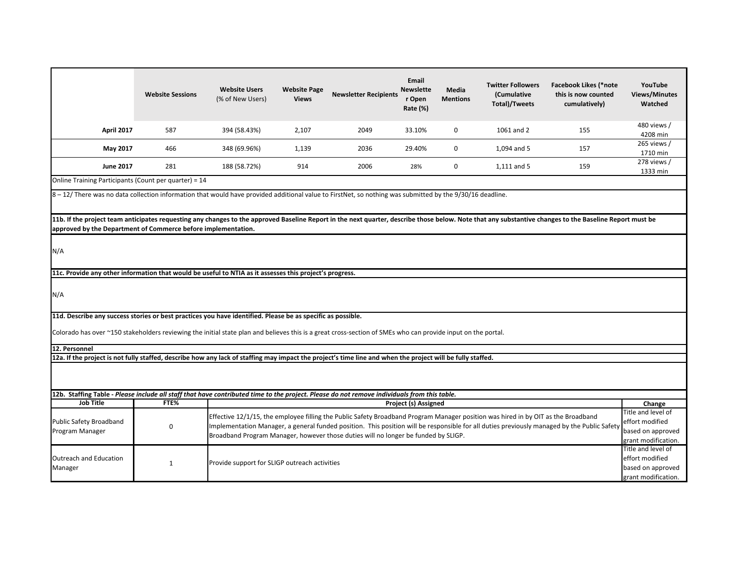|                                                                                                                                                                                                                                                                             | <b>Website Sessions</b> | <b>Website Users</b><br>(% of New Users)      | <b>Website Page</b><br><b>Views</b> | <b>Newsletter Recipients</b>                                                                                                                                                                                                                                                                                                                                         | Email<br><b>Newslette</b><br>r Open<br>Rate (%) | Media<br><b>Mentions</b> | <b>Twitter Followers</b><br>(Cumulative<br>Total)/Tweets | <b>Facebook Likes (*note</b><br>this is now counted<br>cumulatively) | YouTube<br><b>Views/Minutes</b><br>Watched                                        |  |
|-----------------------------------------------------------------------------------------------------------------------------------------------------------------------------------------------------------------------------------------------------------------------------|-------------------------|-----------------------------------------------|-------------------------------------|----------------------------------------------------------------------------------------------------------------------------------------------------------------------------------------------------------------------------------------------------------------------------------------------------------------------------------------------------------------------|-------------------------------------------------|--------------------------|----------------------------------------------------------|----------------------------------------------------------------------|-----------------------------------------------------------------------------------|--|
| <b>April 2017</b>                                                                                                                                                                                                                                                           | 587                     | 394 (58.43%)                                  | 2,107                               | 2049                                                                                                                                                                                                                                                                                                                                                                 | 33.10%                                          | 0                        | 1061 and 2                                               | 155                                                                  | 480 views /<br>4208 min                                                           |  |
| May 2017                                                                                                                                                                                                                                                                    | 466                     | 348 (69.96%)                                  | 1,139                               | 2036                                                                                                                                                                                                                                                                                                                                                                 | 29.40%                                          | 0                        | 1,094 and 5                                              | 157                                                                  | 265 views /<br>1710 min                                                           |  |
| <b>June 2017</b>                                                                                                                                                                                                                                                            | 281                     | 188 (58.72%)                                  | 914                                 | 2006                                                                                                                                                                                                                                                                                                                                                                 | 28%                                             | 0                        | 1,111 and 5                                              | 159                                                                  | 278 views /<br>1333 min                                                           |  |
| Online Training Participants (Count per quarter) = 14                                                                                                                                                                                                                       |                         |                                               |                                     |                                                                                                                                                                                                                                                                                                                                                                      |                                                 |                          |                                                          |                                                                      |                                                                                   |  |
| 8 - 12/ There was no data collection information that would have provided additional value to FirstNet, so nothing was submitted by the 9/30/16 deadline.                                                                                                                   |                         |                                               |                                     |                                                                                                                                                                                                                                                                                                                                                                      |                                                 |                          |                                                          |                                                                      |                                                                                   |  |
| 11b. If the project team anticipates requesting any changes to the approved Baseline Report in the next quarter, describe those below. Note that any substantive changes to the Baseline Report must be<br>approved by the Department of Commerce before implementation.    |                         |                                               |                                     |                                                                                                                                                                                                                                                                                                                                                                      |                                                 |                          |                                                          |                                                                      |                                                                                   |  |
| N/A                                                                                                                                                                                                                                                                         |                         |                                               |                                     |                                                                                                                                                                                                                                                                                                                                                                      |                                                 |                          |                                                          |                                                                      |                                                                                   |  |
| 11c. Provide any other information that would be useful to NTIA as it assesses this project's progress.                                                                                                                                                                     |                         |                                               |                                     |                                                                                                                                                                                                                                                                                                                                                                      |                                                 |                          |                                                          |                                                                      |                                                                                   |  |
| N/A                                                                                                                                                                                                                                                                         |                         |                                               |                                     |                                                                                                                                                                                                                                                                                                                                                                      |                                                 |                          |                                                          |                                                                      |                                                                                   |  |
| 11d. Describe any success stories or best practices you have identified. Please be as specific as possible.<br>Colorado has over ~150 stakeholders reviewing the initial state plan and believes this is a great cross-section of SMEs who can provide input on the portal. |                         |                                               |                                     |                                                                                                                                                                                                                                                                                                                                                                      |                                                 |                          |                                                          |                                                                      |                                                                                   |  |
| 12. Personnel                                                                                                                                                                                                                                                               |                         |                                               |                                     |                                                                                                                                                                                                                                                                                                                                                                      |                                                 |                          |                                                          |                                                                      |                                                                                   |  |
| 12a. If the project is not fully staffed, describe how any lack of staffing may impact the project's time line and when the project will be fully staffed.                                                                                                                  |                         |                                               |                                     |                                                                                                                                                                                                                                                                                                                                                                      |                                                 |                          |                                                          |                                                                      |                                                                                   |  |
|                                                                                                                                                                                                                                                                             |                         |                                               |                                     |                                                                                                                                                                                                                                                                                                                                                                      |                                                 |                          |                                                          |                                                                      |                                                                                   |  |
| 12b. Staffing Table - Please include all staff that have contributed time to the project. Please do not remove individuals from this table.                                                                                                                                 |                         |                                               |                                     |                                                                                                                                                                                                                                                                                                                                                                      |                                                 |                          |                                                          |                                                                      |                                                                                   |  |
| <b>Job Title</b>                                                                                                                                                                                                                                                            | FTE%                    |                                               |                                     |                                                                                                                                                                                                                                                                                                                                                                      | <b>Project (s) Assigned</b>                     |                          |                                                          |                                                                      | Change<br>Title and level of                                                      |  |
| Public Safety Broadband<br>Program Manager                                                                                                                                                                                                                                  | 0                       |                                               |                                     | Effective 12/1/15, the employee filling the Public Safety Broadband Program Manager position was hired in by OIT as the Broadband<br>mplementation Manager, a general funded position. This position will be responsible for all duties previously managed by the Public Safet<br>Broadband Program Manager, however those duties will no longer be funded by SLIGP. |                                                 |                          |                                                          |                                                                      | effort modified<br>based on approved<br>grant modification.                       |  |
| Outreach and Education<br>Manager                                                                                                                                                                                                                                           | $\mathbf{1}$            | Provide support for SLIGP outreach activities |                                     |                                                                                                                                                                                                                                                                                                                                                                      |                                                 |                          |                                                          |                                                                      | Title and level of<br>effort modified<br>based on approved<br>grant modification. |  |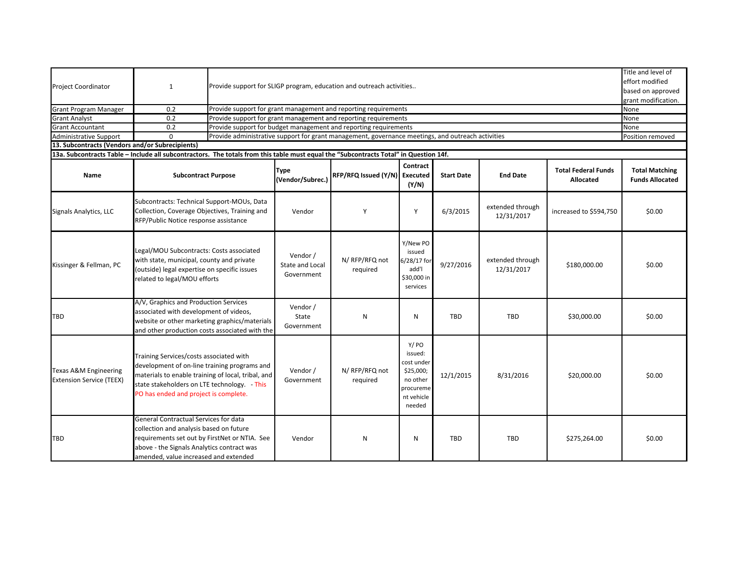| <b>Project Coordinator</b><br><b>Grant Program Manager</b>                                                                                                                                        | $\mathbf{1}$<br>0.2                                                                                                                                                                                                                    | Title and level of<br>effort modified<br>Provide support for SLIGP program, education and outreach activities<br>based on approved<br>grant modification.<br>Provide support for grant management and reporting requirements<br>None |                                                                 |                               |                                                                                             |                   |                                |                                                |                                                 |  |  |
|---------------------------------------------------------------------------------------------------------------------------------------------------------------------------------------------------|----------------------------------------------------------------------------------------------------------------------------------------------------------------------------------------------------------------------------------------|--------------------------------------------------------------------------------------------------------------------------------------------------------------------------------------------------------------------------------------|-----------------------------------------------------------------|-------------------------------|---------------------------------------------------------------------------------------------|-------------------|--------------------------------|------------------------------------------------|-------------------------------------------------|--|--|
| <b>Grant Analyst</b>                                                                                                                                                                              | 0.2                                                                                                                                                                                                                                    |                                                                                                                                                                                                                                      | Provide support for grant management and reporting requirements |                               |                                                                                             |                   |                                |                                                |                                                 |  |  |
| <b>Grant Accountant</b>                                                                                                                                                                           | 0.2                                                                                                                                                                                                                                    | Provide support for budget management and reporting requirements                                                                                                                                                                     |                                                                 |                               |                                                                                             |                   |                                |                                                |                                                 |  |  |
| <b>Administrative Support</b><br>Provide administrative support for grant management, governance meetings, and outreach activities<br>$\Omega$<br>13. Subcontracts (Vendors and/or Subrecipients) |                                                                                                                                                                                                                                        |                                                                                                                                                                                                                                      |                                                                 |                               |                                                                                             |                   |                                |                                                | Position removed                                |  |  |
|                                                                                                                                                                                                   |                                                                                                                                                                                                                                        |                                                                                                                                                                                                                                      |                                                                 |                               |                                                                                             |                   |                                |                                                |                                                 |  |  |
| 13a. Subcontracts Table - Include all subcontractors. The totals from this table must equal the "Subcontracts Total" in Question 14f.                                                             |                                                                                                                                                                                                                                        |                                                                                                                                                                                                                                      |                                                                 |                               |                                                                                             |                   |                                |                                                |                                                 |  |  |
| Name                                                                                                                                                                                              | <b>Subcontract Purpose</b>                                                                                                                                                                                                             |                                                                                                                                                                                                                                      | <b>Type</b><br>(Vendor/Subrec.)                                 | RFP/RFQ Issued (Y/N) Executed | Contract<br>(Y/N)                                                                           | <b>Start Date</b> | <b>End Date</b>                | <b>Total Federal Funds</b><br><b>Allocated</b> | <b>Total Matching</b><br><b>Funds Allocated</b> |  |  |
| Signals Analytics, LLC                                                                                                                                                                            | Subcontracts: Technical Support-MOUs, Data<br>Collection, Coverage Objectives, Training and<br>RFP/Public Notice response assistance                                                                                                   |                                                                                                                                                                                                                                      | Vendor                                                          | Y                             | Y                                                                                           | 6/3/2015          | extended through<br>12/31/2017 | increased to \$594,750                         | \$0.00                                          |  |  |
| Kissinger & Fellman, PC                                                                                                                                                                           | Legal/MOU Subcontracts: Costs associated<br>with state, municipal, county and private<br>(outside) legal expertise on specific issues<br>related to legal/MOU efforts                                                                  |                                                                                                                                                                                                                                      | Vendor /<br>State and Local<br>Government                       | N/RFP/RFQ not<br>required     | Y/New PO<br>issued<br>6/28/17 for<br>add'l<br>\$30,000 in<br>services                       | 9/27/2016         | extended through<br>12/31/2017 | \$180,000.00                                   | \$0.00                                          |  |  |
| <b>TBD</b>                                                                                                                                                                                        | A/V, Graphics and Production Services<br>associated with development of videos,<br>website or other marketing graphics/materials<br>and other production costs associated with the                                                     |                                                                                                                                                                                                                                      | Vendor /<br>State<br>Government                                 | N                             | N                                                                                           | TBD               | <b>TBD</b>                     | \$30,000.00                                    | \$0.00                                          |  |  |
| Texas A&M Engineering<br><b>Extension Service (TEEX)</b>                                                                                                                                          | Training Services/costs associated with<br>development of on-line training programs and<br>materials to enable training of local, tribal, and<br>state stakeholders on LTE technology. - This<br>PO has ended and project is complete. |                                                                                                                                                                                                                                      | Vendor /<br>Government                                          | N/RFP/RFQ not<br>required     | Y/PO<br>issued:<br>cost under<br>\$25,000;<br>no other<br>procureme<br>nt vehicle<br>needed | 12/1/2015         | 8/31/2016                      | \$20,000.00                                    | \$0.00                                          |  |  |
| TBD                                                                                                                                                                                               | General Contractual Services for data<br>collection and analysis based on future<br>requirements set out by FirstNet or NTIA. See<br>above - the Signals Analytics contract was<br>amended, value increased and extended               |                                                                                                                                                                                                                                      | Vendor                                                          | N                             | N                                                                                           | <b>TBD</b>        | <b>TBD</b>                     | \$275,264.00                                   | \$0.00                                          |  |  |